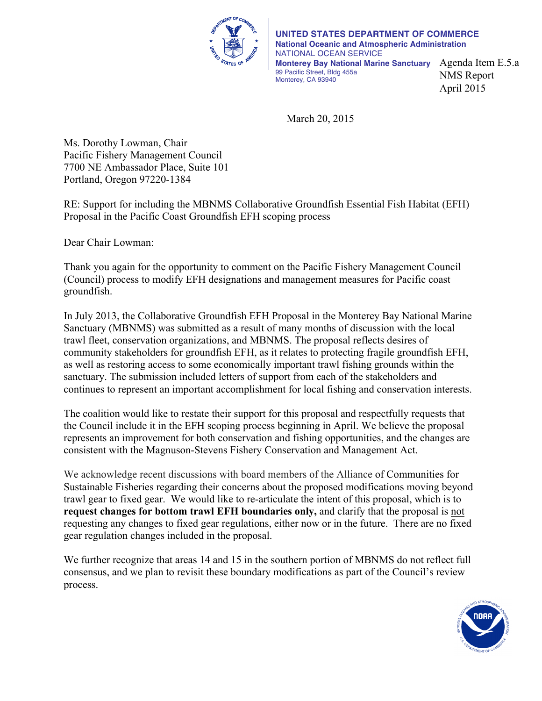

**UNITED STATES DEPARTMENT OF COMMERCE National Oceanic and Atmospheric Administration** NATIONAL OCEAN SERVICE **Monterey Bay National Marine Sanctuary** Agenda Item E.5.a 99 Pacific Street, Bldg 455a Monterey, CA 93940 NMS Report April 2015

March 20, 2015

Ms. Dorothy Lowman, Chair Pacific Fishery Management Council 7700 NE Ambassador Place, Suite 101 Portland, Oregon 97220-1384

RE: Support for including the MBNMS Collaborative Groundfish Essential Fish Habitat (EFH) Proposal in the Pacific Coast Groundfish EFH scoping process

Dear Chair Lowman:

Thank you again for the opportunity to comment on the Pacific Fishery Management Council (Council) process to modify EFH designations and management measures for Pacific coast groundfish.

In July 2013, the Collaborative Groundfish EFH Proposal in the Monterey Bay National Marine Sanctuary (MBNMS) was submitted as a result of many months of discussion with the local trawl fleet, conservation organizations, and MBNMS. The proposal reflects desires of community stakeholders for groundfish EFH, as it relates to protecting fragile groundfish EFH, as well as restoring access to some economically important trawl fishing grounds within the sanctuary. The submission included letters of support from each of the stakeholders and continues to represent an important accomplishment for local fishing and conservation interests.

The coalition would like to restate their support for this proposal and respectfully requests that the Council include it in the EFH scoping process beginning in April. We believe the proposal represents an improvement for both conservation and fishing opportunities, and the changes are consistent with the Magnuson-Stevens Fishery Conservation and Management Act.

We acknowledge recent discussions with board members of the Alliance of Communities for Sustainable Fisheries regarding their concerns about the proposed modifications moving beyond trawl gear to fixed gear. We would like to re-articulate the intent of this proposal, which is to **request changes for bottom trawl EFH boundaries only,** and clarify that the proposal is not requesting any changes to fixed gear regulations, either now or in the future. There are no fixed gear regulation changes included in the proposal.

We further recognize that areas 14 and 15 in the southern portion of MBNMS do not reflect full consensus, and we plan to revisit these boundary modifications as part of the Council's review process.